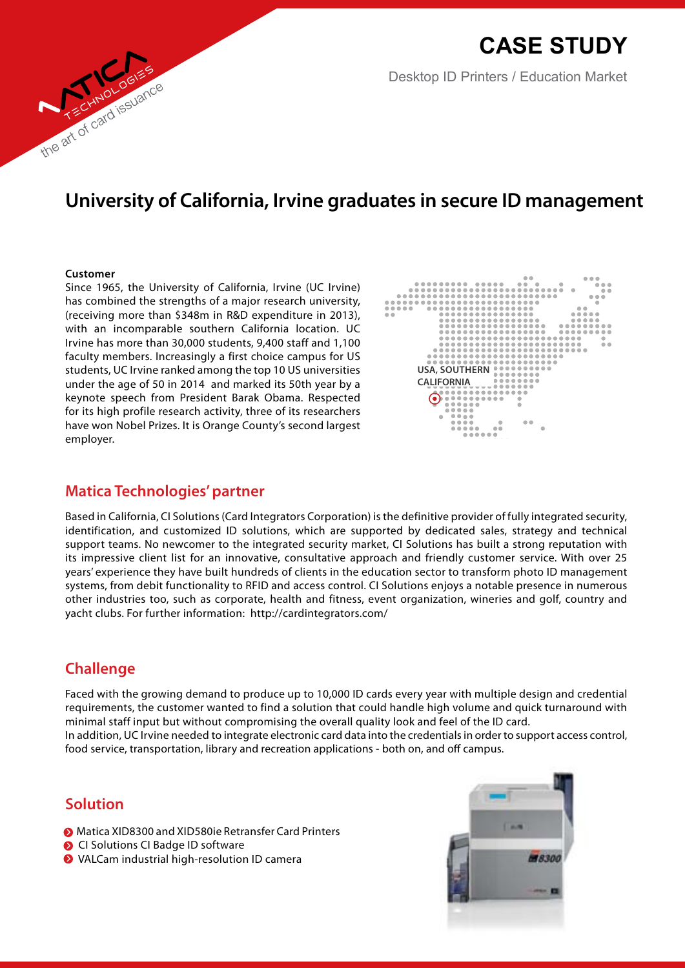**Case Study**

Desktop ID Printers / Education Market

### **University of California, Irvine graduates in secure ID management**

#### **Customer**

the art of card issuance

Since 1965, the University of California, Irvine (UC Irvine) has combined the strengths of a major research university, (receiving more than \$348m in R&D expenditure in 2013), with an incomparable southern California location. UC Irvine has more than 30,000 students, 9,400 staff and 1,100 faculty members. Increasingly a first choice campus for US students, UC Irvine ranked among the top 10 US universities under the age of 50 in 2014 and marked its 50th year by a keynote speech from President Barak Obama. Respected for its high profile research activity, three of its researchers have won Nobel Prizes. It is Orange County's second largest employer.



#### **Matica Technologies' partner**

Based in California, CI Solutions (Card Integrators Corporation) is the definitive provider of fully integrated security, identification, and customized ID solutions, which are supported by dedicated sales, strategy and technical support teams. No newcomer to the integrated security market, CI Solutions has built a strong reputation with its impressive client list for an innovative, consultative approach and friendly customer service. With over 25 years' experience they have built hundreds of clients in the education sector to transform photo ID management systems, from debit functionality to RFID and access control. CI Solutions enjoys a notable presence in numerous other industries too, such as corporate, health and fitness, event organization, wineries and golf, country and yacht clubs. For further information: http://cardintegrators.com/

#### **Challenge**

Faced with the growing demand to produce up to 10,000 ID cards every year with multiple design and credential requirements, the customer wanted to find a solution that could handle high volume and quick turnaround with minimal staff input but without compromising the overall quality look and feel of the ID card.

In addition, UC Irvine needed to integrate electronic card data into the credentials in order to support access control, food service, transportation, library and recreation applications - both on, and off campus.

### **Solution**

- Matica XID8300 and XID580ie Retransfer Card Printers
- **O** CI Solutions CI Badge ID software
- **◆** VALCam industrial high-resolution ID camera

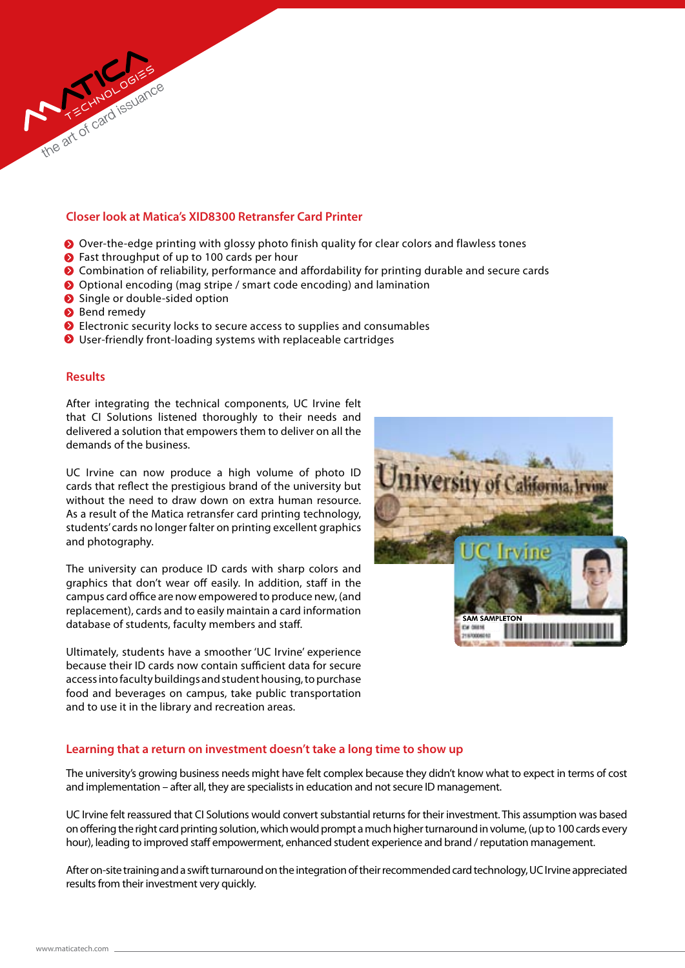#### **Closer look at Matica's XID8300 Retransfer Card Printer**

- Over-the-edge printing with glossy photo finish quality for clear colors and flawless tones
- ◆ Fast throughput of up to 100 cards per hour
- Combination of reliability, performance and affordability for printing durable and secure cards
- Optional encoding (mag stripe / smart code encoding) and lamination
- Single or double-sided option
- **Bend remedy**
- **■** Electronic security locks to secure access to supplies and consumables
- User-friendly front-loading systems with replaceable cartridges

#### **Results**

After integrating the technical components, UC Irvine felt that CI Solutions listened thoroughly to their needs and delivered a solution that empowers them to deliver on all the demands of the business.

UC Irvine can now produce a high volume of photo ID cards that reflect the prestigious brand of the university but without the need to draw down on extra human resource. As a result of the Matica retransfer card printing technology, students' cards no longer falter on printing excellent graphics and photography.

The university can produce ID cards with sharp colors and graphics that don't wear off easily. In addition, staff in the campus card office are now empowered to produce new, (and replacement), cards and to easily maintain a card information database of students, faculty members and staff.

Ultimately, students have a smoother 'UC Irvine' experience because their ID cards now contain sufficient data for secure access into faculty buildings and student housing, to purchase food and beverages on campus, take public transportation and to use it in the library and recreation areas.



#### **Learning that a return on investment doesn't take a long time to show up**

The university's growing business needs might have felt complex because they didn't know what to expect in terms of cost and implementation – after all, they are specialists in education and not secure ID management.

UC Irvine felt reassured that CI Solutions would convert substantial returns for their investment. This assumption was based on offering the right card printing solution, which would prompt a much higher turnaround in volume, (up to 100 cards every hour), leading to improved staff empowerment, enhanced student experience and brand / reputation management.

After on-site training and a swift turnaround on the integration of their recommended card technology, UC Irvine appreciated results from their investment very quickly.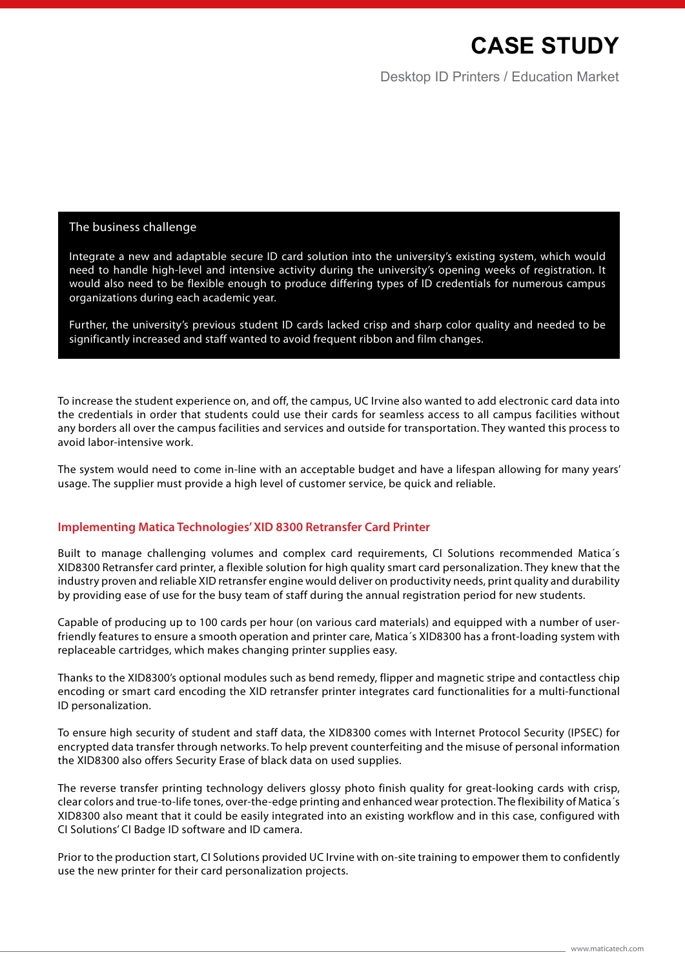# **Case Study**

Desktop ID Printers / Education Market

#### The business challenge

Integrate a new and adaptable secure ID card solution into the university's existing system, which would need to handle high-level and intensive activity during the university's opening weeks of registration. It would also need to be flexible enough to produce differing types of ID credentials for numerous campus organizations during each academic year.

Further, the university's previous student ID cards lacked crisp and sharp color quality and needed to be significantly increased and staff wanted to avoid frequent ribbon and film changes.

To increase the student experience on, and off, the campus, UC Irvine also wanted to add electronic card data into the credentials in order that students could use their cards for seamless access to all campus facilities without any borders all over the campus facilities and services and outside for transportation. They wanted this process to avoid labor-intensive work.

The system would need to come in-line with an acceptable budget and have a lifespan allowing for many years' usage. The supplier must provide a high level of customer service, be quick and reliable.

#### **Implementing Matica Technologies' XID 8300 Retransfer Card Printer**

Built to manage challenging volumes and complex card requirements, CI Solutions recommended Matica´s XID8300 Retransfer card printer, a flexible solution for high quality smart card personalization. They knew that the industry proven and reliable XID retransfer engine would deliver on productivity needs, print quality and durability by providing ease of use for the busy team of staff during the annual registration period for new students.

Capable of producing up to 100 cards per hour (on various card materials) and equipped with a number of userfriendly features to ensure a smooth operation and printer care, Matica´s XID8300 has a front-loading system with replaceable cartridges, which makes changing printer supplies easy.

Thanks to the XID8300's optional modules such as bend remedy, flipper and magnetic stripe and contactless chip encoding or smart card encoding the XID retransfer printer integrates card functionalities for a multi-functional ID personalization.

To ensure high security of student and staff data, the XID8300 comes with Internet Protocol Security (IPSEC) for encrypted data transfer through networks. To help prevent counterfeiting and the misuse of personal information the XID8300 also offers Security Erase of black data on used supplies.

The reverse transfer printing technology delivers glossy photo finish quality for great-looking cards with crisp, clear colors and true-to-life tones, over-the-edge printing and enhanced wear protection. The flexibility of Matica´s XID8300 also meant that it could be easily integrated into an existing workflow and in this case, configured with CI Solutions' CI Badge ID software and ID camera.

Prior to the production start, CI Solutions provided UC Irvine with on-site training to empower them to confidently use the new printer for their card personalization projects.